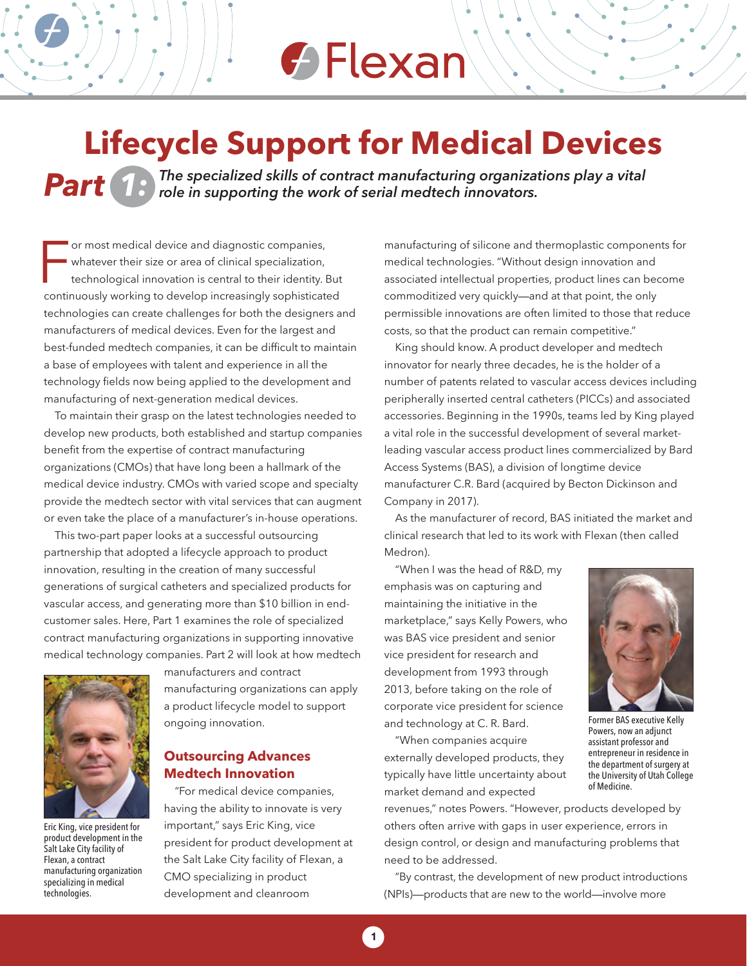### **← Flexan**

### **Lifecycle Support for Medical Devices**

*Par t 1: The specialized skills of contract manufacturing organizations play a vital role in supporting the work of serial medtech innovators.*

or most medical device and diagnostic companies,<br>
whatever their size or area of clinical specialization,<br>
technological innovation is central to their identity. But<br>
continuously working to develop increasingly sophistica or most medical device and diagnostic companies, whatever their size or area of clinical specialization, technological innovation is central to their identity. But technologies can create challenges for both the designers and manufacturers of medical devices. Even for the largest and best-funded medtech companies, it can be difficult to maintain a base of employees with talent and experience in all the technology fields now being applied to the development and manufacturing of next-generation medical devices.

To maintain their grasp on the latest technologies needed to develop new products, both established and startup companies benefit from the expertise of contract manufacturing organizations (CMOs) that have long been a hallmark of the medical device industry. CMOs with varied scope and specialty provide the medtech sector with vital services that can augment or even take the place of a manufacturer's in-house operations.

This two-part paper looks at a successful outsourcing partnership that adopted a lifecycle approach to product innovation, resulting in the creation of many successful generations of surgical catheters and specialized products for vascular access, and generating more than \$10 billion in endcustomer sales. Here, Part 1 examines the role of specialized contract manufacturing organizations in supporting innovative medical technology companies. Part 2 will look at how medtech



Eric King, vice president for product development in the Salt Lake City facility of Flexan, a contract manufacturing organization specializing in medical technologies.

manufacturers and contract manufacturing organizations can apply a product lifecycle model to support ongoing innovation.

### **Outsourcing Advances Medtech Innovation**

"For medical device companies, having the ability to innovate is very important," says Eric King, vice president for product development at the Salt Lake City facility of Flexan, a CMO specializing in product development and cleanroom

manufacturing of silicone and thermoplastic components for medical technologies. "Without design innovation and associated intellectual properties, product lines can become commoditized very quickly—and at that point, the only permissible innovations are often limited to those that reduce costs, so that the product can remain competitive."

King should know. A product developer and medtech innovator for nearly three decades, he is the holder of a number of patents related to vascular access devices including peripherally inserted central catheters (PICCs) and associated accessories. Beginning in the 1990s, teams led by King played a vital role in the successful development of several marketleading vascular access product lines commercialized by Bard Access Systems (BAS), a division of longtime device manufacturer C.R. Bard (acquired by Becton Dickinson and Company in 2017).

As the manufacturer of record, BAS initiated the market and clinical research that led to its work with Flexan (then called Medron).

"When I was the head of R&D, my emphasis was on capturing and maintaining the initiative in the marketplace," says Kelly Powers, who was BAS vice president and senior vice president for research and development from 1993 through 2013, before taking on the role of corporate vice president for science and technology at C. R. Bard.

"When companies acquire externally developed products, they typically have little uncertainty about market demand and expected



Former BAS executive Kelly Powers, now an adjunct assistant professor and entrepreneur in residence in the department of surgery at the University of Utah College of Medicine.

revenues," notes Powers. "However, products developed by others often arrive with gaps in user experience, errors in design control, or design and manufacturing problems that need to be addressed.

"By contrast, the development of new product introductions (NPIs)—products that are new to the world—involve more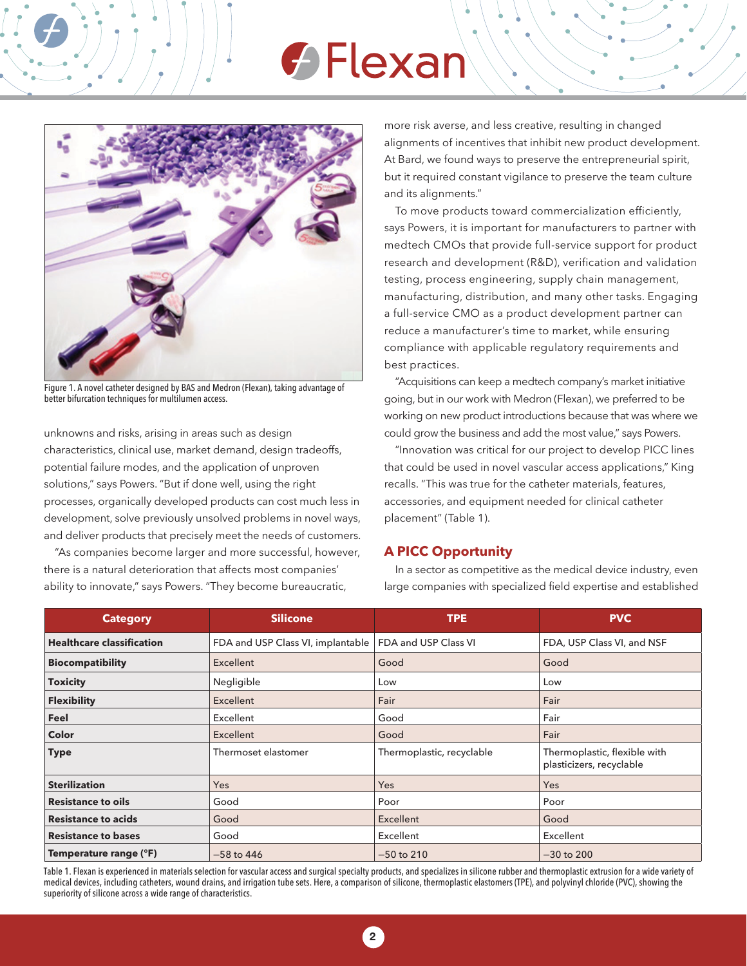# **G** Flexan



Figure 1. A novel catheter designed by BAS and Medron (Flexan), taking advantage of better bifurcation techniques for multilumen access.

unknowns and risks, arising in areas such as design characteristics, clinical use, market demand, design tradeoffs, potential failure modes, and the application of unproven solutions," says Powers. "But if done well, using the right processes, organically developed products can cost much less in development, solve previously unsolved problems in novel ways, and deliver products that precisely meet the needs of customers.

"As companies become larger and more successful, however, there is a natural deterioration that affects most companies' ability to innovate," says Powers. "They become bureaucratic,

more risk averse, and less creative, resulting in changed alignments of incentives that inhibit new product development. At Bard, we found ways to preserve the entrepreneurial spirit, but it required constant vigilance to preserve the team culture and its alignments."

To move products toward commercialization efficiently, says Powers, it is important for manufacturers to partner with medtech CMOs that provide full-service support for product research and development (R&D), verification and validation testing, process engineering, supply chain management, manufacturing, distribution, and many other tasks. Engaging a full-service CMO as a product development partner can reduce a manufacturer's time to market, while ensuring compliance with applicable regulatory requirements and best practices.

"Acquisitions can keep a medtech company's market initiative going, but in our work with Medron (Flexan), we preferred to be working on new product introductions because that was where we could grow the business and add the most value," says Powers.

"Innovation was critical for our project to develop PICC lines that could be used in novel vascular access applications," King recalls. "This was true for the catheter materials, features, accessories, and equipment needed for clinical catheter placement" (Table 1).

#### **A PICC Opportunity**

In a sector as competitive as the medical device industry, even large companies with specialized field expertise and established

| <b>Category</b>                  | <b>Silicone</b>                   | <b>TPE</b>                | <b>PVC</b>                                               |
|----------------------------------|-----------------------------------|---------------------------|----------------------------------------------------------|
| <b>Healthcare classification</b> | FDA and USP Class VI, implantable | FDA and USP Class VI      | FDA, USP Class VI, and NSF                               |
| <b>Biocompatibility</b>          | Excellent                         | Good                      | Good                                                     |
| <b>Toxicity</b>                  | Negligible                        | Low                       | Low                                                      |
| <b>Flexibility</b>               | Excellent                         | Fair                      | Fair                                                     |
| Feel                             | Excellent                         | Good                      | Fair                                                     |
| Color                            | Excellent                         | Good                      | Fair                                                     |
| <b>Type</b>                      | Thermoset elastomer               | Thermoplastic, recyclable | Thermoplastic, flexible with<br>plasticizers, recyclable |
| <b>Sterilization</b>             | Yes                               | Yes                       | Yes                                                      |
| <b>Resistance to oils</b>        | Good                              | Poor                      | Poor                                                     |
| <b>Resistance to acids</b>       | Good                              | Excellent                 | Good                                                     |
| <b>Resistance to bases</b>       | Good                              | Excellent                 | Excellent                                                |
| Temperature range (°F)           | $-58$ to 446                      | $-50$ to 210              | $-30$ to 200                                             |

Table 1. Flexan is experienced in materials selection for vascular access and surgical specialty products, and specializes in silicone rubber and thermoplastic extrusion for a wide variety of medical devices, including catheters, wound drains, and irrigation tube sets. Here, a comparison of silicone, thermoplastic elastomers (TPE), and polyvinyl chloride (PVC), showing the superiority of silicone across a wide range of characteristics.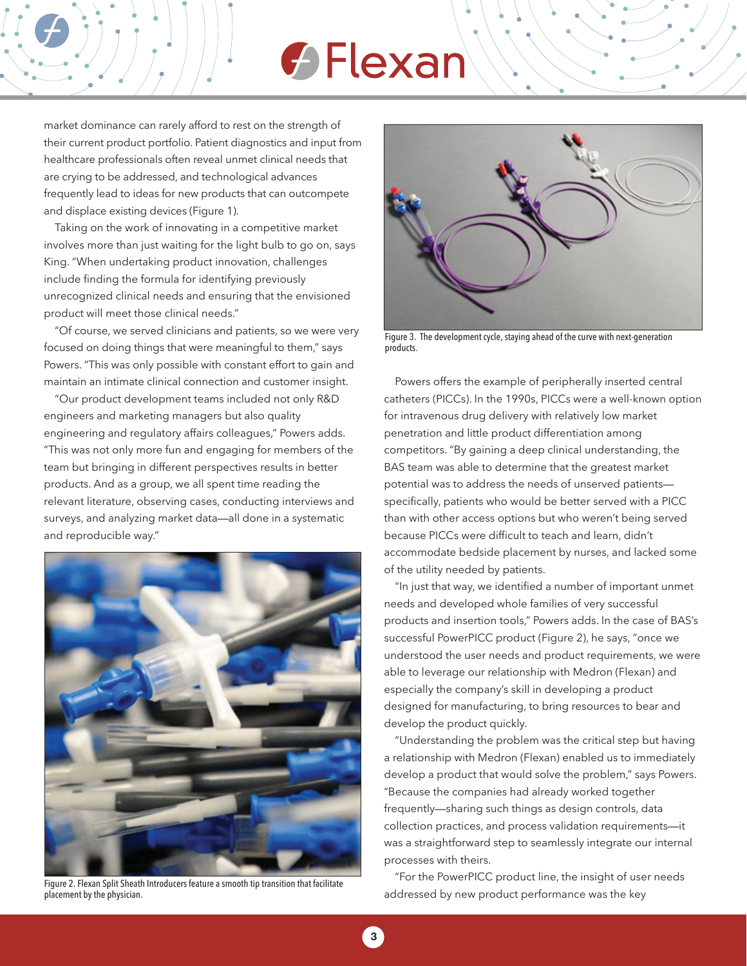# $\bigcirc$  Flexan

market dominance can rarely afford to rest on the strength of their current product portfolio. Patient diagnostics and input from healthcare professionals often reveal unmet clinical needs that are crying to be addressed, and technological advances frequently lead to ideas for new products that can outcompete and displace existing devices (Figure 1).

Taking on the work of innovating in a competitive market involves more than just waiting for the light bulb to go on, says King. "When undertaking product innovation, challenges include finding the formula for identifying previously unrecognized clinical needs and ensuring that the envisioned product will meet those clinical needs."

"Of course, we served clinicians and patients, so we were very focused on doing things that were meaningful to them," says Powers. "This was only possible with constant effort to gain and maintain an intimate clinical connection and customer insight.

"Our product development teams included not only R&D engineers and marketing managers but also quality engineering and regulatory affairs colleagues," Powers adds. "This was not only more fun and engaging for members of the team but bringing in different perspectives results in better products. And as a group, we all spent time reading the relevant literature, observing cases, conducting interviews and surveys, and analyzing market data—all done in a systematic and reproducible way."



Figure 2. Flexan Split Sheath Introducers feature a smooth tip transition that facilitate placement by the physician.



Figure 3. The development cycle, staying ahead of the curve with next-generation products.

Powers offers the example of peripherally inserted central catheters (PICCs). In the 1990s, PICCs were a well-known option for intravenous drug delivery with relatively low market penetration and little product differentiation among competitors. "By gaining a deep clinical understanding, the BAS team was able to determine that the greatest market potential was to address the needs of unserved patients specifically, patients who would be better served with a PICC than with other access options but who weren't being served because PICCs were difficult to teach and learn, didn't accommodate bedside placement by nurses, and lacked some of the utility needed by patients.

"In just that way, we identified a number of important unmet needs and developed whole families of very successful products and insertion tools," Powers adds. In the case of BAS's successful PowerPICC product (Figure 2), he says, "once we understood the user needs and product requirements, we were able to leverage our relationship with Medron (Flexan) and especially the company's skill in developing a product designed for manufacturing, to bring resources to bear and develop the product quickly.

"Understanding the problem was the critical step but having a relationship with Medron (Flexan) enabled us to immediately develop a product that would solve the problem," says Powers. "Because the companies had already worked together frequently—sharing such things as design controls, data collection practices, and process validation requirements—it was a straightforward step to seamlessly integrate our internal processes with theirs.

"For the PowerPICC product line, the insight of user needs addressed by new product performance was the key